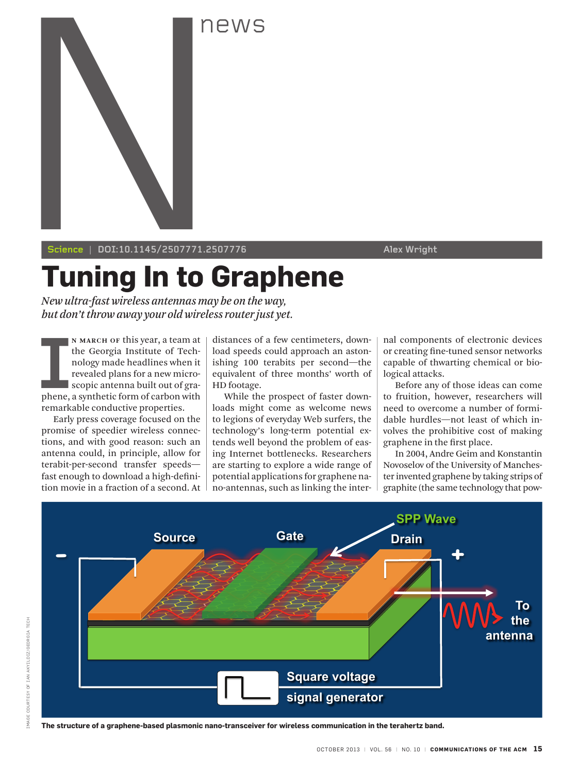

**Science** | **DOI:10.1145/2507771.2507776 Alex Wright**

# **Tuning In to Graphene**

*New ultra-fast wireless antennas may be on the way, but don't throw away your old wireless router just yet.*

**IPHORE SEARCH OF this year, a team at**<br>the Georgia Institute of Tech-<br>nology made headlines when it<br>revealed plans for a new micro-<br>scopic antenna built out of gra-<br>phene, a synthetic form of carbon with<br>remarkable conduc **N MARCH OF** this year, a team at the Georgia Institute of Technology made headlines when it revealed plans for a new microscopic antenna built out of graremarkable conductive properties.

Early press coverage focused on the promise of speedier wireless connections, and with good reason: such an antenna could, in principle, allow for terabit-per-second transfer speeds fast enough to download a high-definition movie in a fraction of a second. At

distances of a few centimeters, download speeds could approach an astonishing 100 terabits per second—the equivalent of three months' worth of HD footage.

While the prospect of faster downloads might come as welcome news to legions of everyday Web surfers, the technology's long-term potential extends well beyond the problem of easing Internet bottlenecks. Researchers are starting to explore a wide range of potential applications for graphene nano-antennas, such as linking the internal components of electronic devices or creating fine-tuned sensor networks capable of thwarting chemical or biological attacks.

Before any of those ideas can come to fruition, however, researchers will need to overcome a number of formidable hurdles—not least of which involves the prohibitive cost of making graphene in the first place.

In 2004, Andre Geim and Konstantin Novoselov of the University of Manchester invented graphene by taking strips of graphite (the same technology that pow-



**The structure of a graphene-based plasmonic nano-transceiver for wireless communication in the terahertz band.** 

IMAGE COURTESY OF IAN AKYILDIZ/GEORGIA TECH

IMAGE

COURTESY OF IAN AKYILDIZ/GEORGIA TECH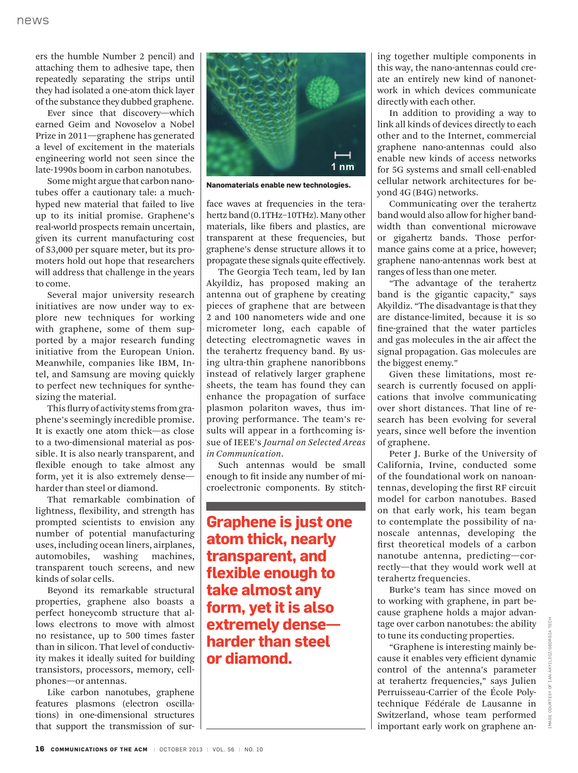ers the humble Number 2 pencil) and attaching them to adhesive tape, then repeatedly separating the strips until they had isolated a one-atom thick layer of the substance they dubbed graphene.

Ever since that discovery—which earned Geim and Novoselov a Nobel Prize in 2011—graphene has generated a level of excitement in the materials engineering world not seen since the late-1990s boom in carbon nanotubes.

Some might argue that carbon nanotubes offer a cautionary tale: a muchhyped new material that failed to live up to its initial promise. Graphene's real-world prospects remain uncertain, given its current manufacturing cost of \$3,000 per square meter, but its promoters hold out hope that researchers will address that challenge in the years to come.

Several major university research initiatives are now under way to explore new techniques for working with graphene, some of them supported by a major research funding initiative from the European Union. Meanwhile, companies like IBM, Intel, and Samsung are moving quickly to perfect new techniques for synthesizing the material.

This flurry of activity stems from graphene's seemingly incredible promise. It is exactly one atom thick—as close to a two-dimensional material as possible. It is also nearly transparent, and flexible enough to take almost any form, yet it is also extremely dense harder than steel or diamond.

That remarkable combination of lightness, flexibility, and strength has prompted scientists to envision any number of potential manufacturing uses, including ocean liners, airplanes, automobiles, washing machines, transparent touch screens, and new kinds of solar cells.

Beyond its remarkable structural properties, graphene also boasts a perfect honeycomb structure that allows electrons to move with almost no resistance, up to 500 times faster than in silicon. That level of conductivity makes it ideally suited for building transistors, processors, memory, cellphones—or antennas.

Like carbon nanotubes, graphene features plasmons (electron oscillations) in one-dimensional structures that support the transmission of sur-



**Nanomaterials enable new technologies.** 

face waves at frequencies in the terahertz band (0.1THz–10THz). Many other materials, like fibers and plastics, are transparent at these frequencies, but graphene's dense structure allows it to propagate these signals quite effectively.

The Georgia Tech team, led by Ian Akyildiz, has proposed making an antenna out of graphene by creating pieces of graphene that are between 2 and 100 nanometers wide and one micrometer long, each capable of detecting electromagnetic waves in the terahertz frequency band. By using ultra-thin graphene nanoribbons instead of relatively larger graphene sheets, the team has found they can enhance the propagation of surface plasmon polariton waves, thus improving performance. The team's results will appear in a forthcoming issue of IEEE's *Journal on Selected Areas in Communication*.

Such antennas would be small enough to fit inside any number of microelectronic components. By stitch-

**Graphene is just one atom thick, nearly transparent, and flexible enough to take almost any form, yet it is also extremely dense harder than steel or diamond.** 

ing together multiple components in this way, the nano-antennas could create an entirely new kind of nanonetwork in which devices communicate directly with each other.

In addition to providing a way to link all kinds of devices directly to each other and to the Internet, commercial graphene nano-antennas could also enable new kinds of access networks for 5G systems and small cell-enabled cellular network architectures for beyond 4G (B4G) networks.

Communicating over the terahertz band would also allow for higher bandwidth than conventional microwave or gigahertz bands. Those performance gains come at a price, however; graphene nano-antennas work best at ranges of less than one meter.

"The advantage of the terahertz band is the gigantic capacity," says Akyildiz. "The disadvantage is that they are distance-limited, because it is so fine-grained that the water particles and gas molecules in the air affect the signal propagation. Gas molecules are the biggest enemy."

Given these limitations, most research is currently focused on applications that involve communicating over short distances. That line of research has been evolving for several years, since well before the invention of graphene.

Peter J. Burke of the University of California, Irvine, conducted some of the foundational work on nanoantennas, developing the first RF circuit model for carbon nanotubes. Based on that early work, his team began to contemplate the possibility of nanoscale antennas, developing the first theoretical models of a carbon nanotube antenna, predicting—correctly—that they would work well at terahertz frequencies.

Burke's team has since moved on to working with graphene, in part because graphene holds a major advantage over carbon nanotubes: the ability to tune its conducting properties.

"Graphene is interesting mainly because it enables very efficient dynamic control of the antenna's parameter at terahertz frequencies," says Julien Perruisseau-Carrier of the École Polytechnique Fédérale de Lausanne in Switzerland, whose team performed important early work on graphene an-